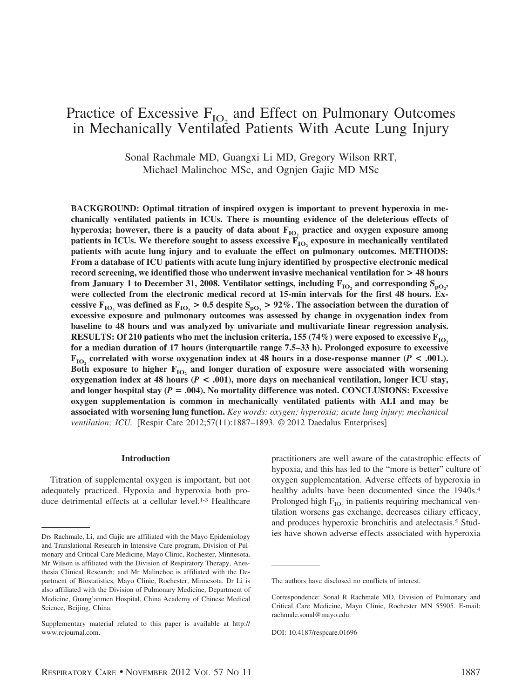# Practice of Excessive  $F_{IO_2}$  and Effect on Pulmonary Outcomes in Mechanically Ventilated Patients With Acute Lung Injury

Sonal Rachmale MD, Guangxi Li MD, Gregory Wilson RRT, Michael Malinchoc MSc, and Ognjen Gajic MD MSc

**BACKGROUND: Optimal titration of inspired oxygen is important to prevent hyperoxia in mechanically ventilated patients in ICUs. There is mounting evidence of the deleterious effects of** hyperoxia; however, there is a paucity of data about  $F_{IO_2}$  practice and oxygen exposure among patients in ICUs. We therefore sought to assess excessive  $\overline{F}_{IO}$ , exposure in mechanically ventilated **patients with acute lung injury and to evaluate the effect on pulmonary outcomes. METHODS: From a database of ICU patients with acute lung injury identified by prospective electronic medical record screening, we identified those who underwent invasive mechanical ventilation for > 48 hours** from January 1 to December 31, 2008. Ventilator settings, including  $\mathrm{F_{IO_2}}$  and corresponding  $\mathrm{S_{po_2}}$ , **were collected from the electronic medical record at 15-min intervals for the first 48 hours. Excessive F<sub>IO<sub>2</sub></sub> was defined as F<sub>IO<sub>2</sub></sub> > 0.5 despite S<sub>pO<sub>2</sub></sub> > 92%. The association between the duration of excessive exposure and pulmonary outcomes was assessed by change in oxygenation index from baseline to 48 hours and was analyzed by univariate and multivariate linear regression analysis. RESULTS:** Of 210 patients who met the inclusion criteria, 155 (74%) were exposed to excessive  $F_{10}$ , **for a median duration of 17 hours (interquartile range 7.5–33 h). Prolonged exposure to excessive**  $\mathbf{F}_{\text{IO}}$ , correlated with worse oxygenation index at 48 hours in a dose-response manner (*P* < .001.). Both exposure to higher  $F_{1O_2}$  and longer duration of exposure were associated with worsening **oxygenation index at 48 hours (***P* **< .001), more days on mechanical ventilation, longer ICU stay, and longer hospital stay (***P* **.004). No mortality difference was noted. CONCLUSIONS: Excessive oxygen supplementation is common in mechanically ventilated patients with ALI and may be associated with worsening lung function.** *Key words: oxygen; hyperoxia; acute lung injury; mechanical ventilation; ICU.* [Respir Care 2012;57(11):1887–1893. © 2012 Daedalus Enterprises]

## **Introduction**

Titration of supplemental oxygen is important, but not adequately practiced. Hypoxia and hyperoxia both produce detrimental effects at a cellular level.<sup>1-3</sup> Healthcare

practitioners are well aware of the catastrophic effects of hypoxia, and this has led to the "more is better" culture of oxygen supplementation. Adverse effects of hyperoxia in healthy adults have been documented since the 1940s.<sup>4</sup> Prolonged high  $F_{IO}$  in patients requiring mechanical ventilation worsens gas exchange, decreases ciliary efficacy, and produces hyperoxic bronchitis and atelectasis.5 Stud-Drs Rachmale, Li, and Gajic are affiliated with the Mayo Epidemiology ies have shown adverse effects associated with hyperoxia

and Translational Research in Intensive Care program, Division of Pulmonary and Critical Care Medicine, Mayo Clinic, Rochester, Minnesota. Mr Wilson is affiliated with the Division of Respiratory Therapy, Anesthesia Clinical Research; and Mr Malinchoc is affiliated with the Department of Biostatistics, Mayo Clinic, Rochester, Minnesota. Dr Li is also affiliated with the Division of Pulmonary Medicine, Department of Medicine, Guang'anmen Hospital, China Academy of Chinese Medical Science, Beijing, China.

Supplementary material related to this paper is available at http:// www.rcjournal.com.

The authors have disclosed no conflicts of interest.

Correspondence: Sonal R Rachmale MD, Division of Pulmonary and Critical Care Medicine, Mayo Clinic, Rochester MN 55905. E-mail: rachmale.sonal@mayo.edu.

DOI: 10.4187/respcare.01696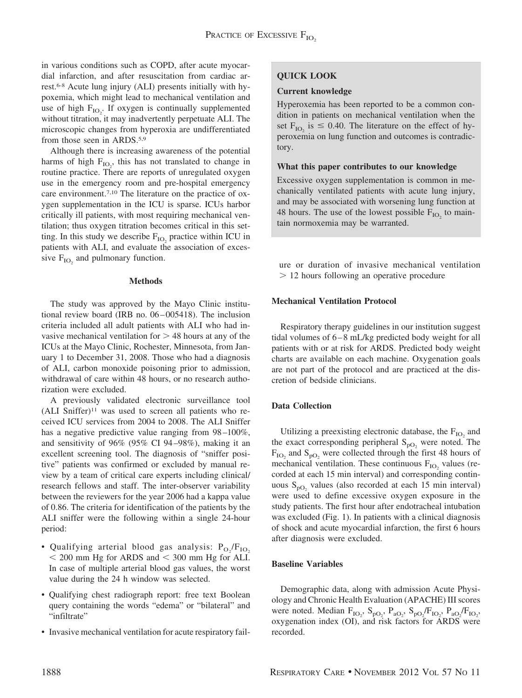in various conditions such as COPD, after acute myocardial infarction, and after resuscitation from cardiac arrest.6-8 Acute lung injury (ALI) presents initially with hypoxemia, which might lead to mechanical ventilation and use of high  $F_{IO_2}$ . If oxygen is continually supplemented without titration, it may inadvertently perpetuate ALI. The microscopic changes from hyperoxia are undifferentiated from those seen in ARDS.5,9

Although there is increasing awareness of the potential harms of high  $F_{IO_2}$ , this has not translated to change in routine practice. There are reports of unregulated oxygen use in the emergency room and pre-hospital emergency care environment.<sup>7,10</sup> The literature on the practice of oxygen supplementation in the ICU is sparse. ICUs harbor critically ill patients, with most requiring mechanical ventilation; thus oxygen titration becomes critical in this setting. In this study we describe  $F_{IO}$  practice within ICU in patients with ALI, and evaluate the association of excessive  $F_{IO}$  and pulmonary function.

## **Methods**

The study was approved by the Mayo Clinic institutional review board (IRB no. 06 – 005418). The inclusion criteria included all adult patients with ALI who had invasive mechanical ventilation for  $>$  48 hours at any of the ICUs at the Mayo Clinic, Rochester, Minnesota, from January 1 to December 31, 2008. Those who had a diagnosis of ALI, carbon monoxide poisoning prior to admission, withdrawal of care within 48 hours, or no research authorization were excluded.

A previously validated electronic surveillance tool  $(ALI \; Sniffer)^{11}$  was used to screen all patients who received ICU services from 2004 to 2008. The ALI Sniffer has a negative predictive value ranging from  $98-100\%$ , and sensitivity of 96% (95% CI 94 –98%), making it an excellent screening tool. The diagnosis of "sniffer positive" patients was confirmed or excluded by manual review by a team of critical care experts including clinical/ research fellows and staff. The inter-observer variability between the reviewers for the year 2006 had a kappa value of 0.86. The criteria for identification of the patients by the ALI sniffer were the following within a single 24-hour period:

- Qualifying arterial blood gas analysis:  $P_{O_2}/F_{IO_2}$  $<$  200 mm Hg for ARDS and  $<$  300 mm Hg for ALI. In case of multiple arterial blood gas values, the worst value during the 24 h window was selected.
- Qualifying chest radiograph report: free text Boolean query containing the words "edema" or "bilateral" and "infiltrate"
- Invasive mechanical ventilation for acute respiratory fail-

# **QUICK LOOK**

# **Current knowledge**

Hyperoxemia has been reported to be a common condition in patients on mechanical ventilation when the set  $F_{IO_2}$  is  $\leq 0.40$ . The literature on the effect of hyperoxemia on lung function and outcomes is contradictory.

## **What this paper contributes to our knowledge**

Excessive oxygen supplementation is common in mechanically ventilated patients with acute lung injury, and may be associated with worsening lung function at 48 hours. The use of the lowest possible  $F_{IO}$  to maintain normoxemia may be warranted.

ure or duration of invasive mechanical ventilation 12 hours following an operative procedure

# **Mechanical Ventilation Protocol**

Respiratory therapy guidelines in our institution suggest tidal volumes of 6 – 8 mL/kg predicted body weight for all patients with or at risk for ARDS. Predicted body weight charts are available on each machine. Oxygenation goals are not part of the protocol and are practiced at the discretion of bedside clinicians.

# **Data Collection**

Utilizing a preexisting electronic database, the  $F_{IO}$  and the exact corresponding peripheral  $S_{pO<sub>2</sub>}$  were noted. The  $F_{IO}$ , and  $S_{pO}$ , were collected through the first 48 hours of mechanical ventilation. These continuous  $F_{IO}$  values (recorded at each 15 min interval) and corresponding continuous  $S_{\text{pO}_2}$  values (also recorded at each 15 min interval) were used to define excessive oxygen exposure in the study patients. The first hour after endotracheal intubation was excluded (Fig. 1). In patients with a clinical diagnosis of shock and acute myocardial infarction, the first 6 hours after diagnosis were excluded.

# **Baseline Variables**

Demographic data, along with admission Acute Physiology and Chronic Health Evaluation (APACHE) III scores were noted. Median  $F_{IO_2}$ ,  $S_{pO_2}$ ,  $P_{aO_2}$ ,  $S_{pO_2}/F_{IO_2}$ ,  $P_{aO_2}/F_{IO_2}$ , oxygenation index (OI), and risk factors for ARDS were recorded.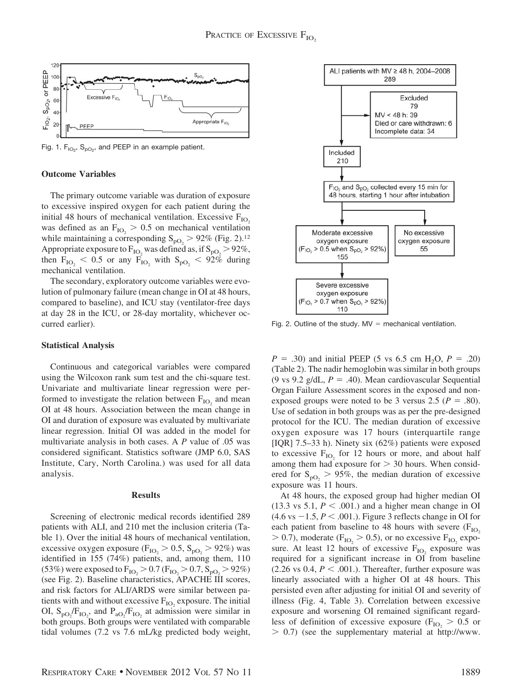

Fig. 1.  $F_{IO_2}$ ,  $S_{PO_2}$ , and PEEP in an example patient.

## **Outcome Variables**

The primary outcome variable was duration of exposure to excessive inspired oxygen for each patient during the initial 48 hours of mechanical ventilation. Excessive  $F_{IO}$ was defined as an  $F_{IO_2} > 0.5$  on mechanical ventilation while maintaining a corresponding  $S_{pQ_2} > 92\%$  (Fig. 2).<sup>12</sup> Appropriate exposure to  $F_{IO_2}$  was defined as, if  $S_{pO_2} > 92\%$ , then  $F_{IO_2}$  < 0.5 or any  $F_{IO_2}$  with  $S_{PO_2}$  < 92% during mechanical ventilation.

The secondary, exploratory outcome variables were evolution of pulmonary failure (mean change in OI at 48 hours, compared to baseline), and ICU stay (ventilator-free days at day 28 in the ICU, or 28-day mortality, whichever occurred earlier).

#### **Statistical Analysis**

Continuous and categorical variables were compared using the Wilcoxon rank sum test and the chi-square test. Univariate and multivariate linear regression were performed to investigate the relation between  $F_{IO}$  and mean OI at 48 hours. Association between the mean change in OI and duration of exposure was evaluated by multivariate linear regression. Initial OI was added in the model for multivariate analysis in both cases. A *P* value of .05 was considered significant. Statistics software (JMP 6.0, SAS Institute, Cary, North Carolina.) was used for all data analysis.

#### **Results**

Screening of electronic medical records identified 289 patients with ALI, and 210 met the inclusion criteria (Table 1). Over the initial 48 hours of mechanical ventilation, excessive oxygen exposure ( $F_{IO_2} > 0.5$ ,  $S_{pO_2} > 92\%$ ) was identified in 155 (74%) patients, and, among them, 110 (53%) were exposed to  $F_{IO_2} > 0.7$  ( $F_{IO_2} > 0.7$ ,  $S_{pO_2} > 92\%$ ) (see Fig. 2). Baseline characteristics, APACHE III scores, and risk factors for ALI/ARDS were similar between patients with and without excessive  $F_{IO}$ , exposure. The initial OI,  $S_{pO_2}/F_{IO_2}$ , and  $P_{aO_2}/F_{IO_2}$  at admission were similar in both groups. Both groups were ventilated with comparable tidal volumes (7.2 vs 7.6 mL/kg predicted body weight,



Fig. 2. Outline of the study.  $MV = mechanical$  ventilation.

 $P = .30$ ) and initial PEEP (5 vs 6.5 cm H<sub>2</sub>O,  $P = .20$ ) (Table 2). The nadir hemoglobin was similar in both groups (9 vs 9.2 g/dL,  $P = .40$ ). Mean cardiovascular Sequential Organ Failure Assessment scores in the exposed and nonexposed groups were noted to be 3 versus 2.5 ( $P = .80$ ). Use of sedation in both groups was as per the pre-designed protocol for the ICU. The median duration of excessive oxygen exposure was 17 hours (interquartile range [IQR] 7.5–33 h). Ninety six (62%) patients were exposed to excessive  $F_{IO}$  for 12 hours or more, and about half among them had exposure for  $> 30$  hours. When considered for  $S_{\text{pQ}_2} > 95\%$ , the median duration of excessive exposure was 11 hours.

At 48 hours, the exposed group had higher median OI  $(13.3 \text{ vs } 5.1, P < .001.)$  and a higher mean change in OI  $(4.6 \text{ vs } -1.5, P < .001.)$ . Figure 3 reflects change in OI for each patient from baseline to 48 hours with severe  $(F_{IO}$  $> 0.7$ ), moderate ( $F_{IO_2} > 0.5$ ), or no excessive  $F_{IO_2}$  exposure. At least 12 hours of excessive  $F_{IO}$  exposure was required for a significant increase in OI from baseline  $(2.26 \text{ vs } 0.4, P < .001.)$ . Thereafter, further exposure was linearly associated with a higher OI at 48 hours. This persisted even after adjusting for initial OI and severity of illness (Fig. 4, Table 3). Correlation between excessive exposure and worsening OI remained significant regardless of definition of excessive exposure ( $F_{IO} > 0.5$  or  $> 0.7$ ) (see the supplementary material at http://www.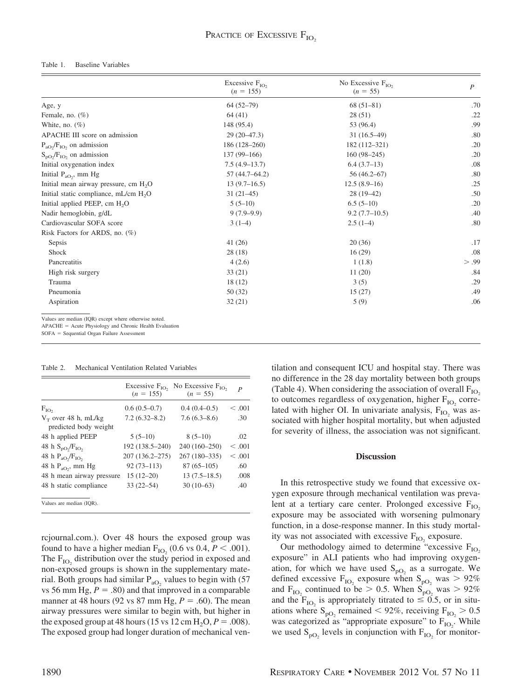#### Table 1. Baseline Variables

|                                                   | Excessive $F_{IO_2}$<br>$(n = 155)$ | No Excessive $F_{IO}$<br>$(n = 55)$ | $\boldsymbol{P}$ |
|---------------------------------------------------|-------------------------------------|-------------------------------------|------------------|
| Age, y                                            | $64(52-79)$                         | $68(51-81)$                         | .70              |
| Female, no. $(\%)$                                | 64(41)                              | 28(51)                              | .22              |
| White, no. $(\%)$                                 | 148 (95.4)                          | 53 (96.4)                           | .99              |
| APACHE III score on admission                     | $29(20-47.3)$                       | $31(16.5-49)$                       | .80              |
| $P_{aO_2}/F_{IO_2}$ on admission                  | $186(128-260)$                      | 182 (112-321)                       | .20              |
| $S_{\text{pO}}/F_{\text{IO}}$ , on admission      | $137(99-166)$                       | $160(98-245)$                       | .20              |
| Initial oxygenation index                         | $7.5(4.9-13.7)$                     | $6.4(3.7-13)$                       | .08              |
| Initial $P_{aO_2}$ , mm Hg                        | $57(44.7 - 64.2)$                   | $56(46.2 - 67)$                     | .80              |
| Initial mean airway pressure, cm H <sub>2</sub> O | $13(9.7-16.5)$                      | $12.5(8.9-16)$                      | .25              |
| Initial static compliance, mL/cm H <sub>2</sub> O | $31(21-45)$                         | $28(19-42)$                         | .50              |
| Initial applied PEEP, cm H <sub>2</sub> O         | $5(5-10)$                           | $6.5(5-10)$                         | .20              |
| Nadir hemoglobin, g/dL                            | $9(7.9-9.9)$                        | $9.2(7.7-10.5)$                     | .40              |
| Cardiovascular SOFA score                         | $3(1-4)$                            | $2.5(1-4)$                          | .80              |
| Risk Factors for ARDS, no. (%)                    |                                     |                                     |                  |
| Sepsis                                            | 41(26)                              | 20(36)                              | .17              |
| Shock                                             | 28(18)                              | 16(29)                              | .08              |
| Pancreatitis                                      | 4(2.6)                              | 1(1.8)                              | > .99            |
| High risk surgery                                 | 33(21)                              | 11(20)                              | .84              |
| Trauma                                            | 18(12)                              | 3(5)                                | .29              |
| Pneumonia                                         | 50(32)                              | 15(27)                              | .49              |
| Aspiration                                        | 32(21)                              | 5(9)                                | .06              |

Values are median (IQR) except where otherwise noted.<br>APACHE = Acute Physiology and Chronic Health Evaluation<br>SOFA = Sequential Organ Failure Assessment

#### Table 2. Mechanical Ventilation Related Variables

|                                    | Excessive $F_{IO}$<br>$(n = 155)$ | No Excessive $F_{IO2}$<br>$(n = 55)$ | P       |
|------------------------------------|-----------------------------------|--------------------------------------|---------|
| $F_{IO_2}$                         | $0.6(0.5-0.7)$                    | $0.4(0.4-0.5)$                       | < 0.001 |
| $V_T$ over 48 h, mL/kg             | $7.2(6.32 - 8.2)$                 | $7.6(6.3 - 8.6)$                     | .30     |
| predicted body weight              |                                   |                                      |         |
| 48 h applied PEEP                  | $5(5-10)$                         | $8(5-10)$                            | .02     |
| 48 h $S_{\text{po}}/F_{\text{IO}}$ | 192 (138.5–240)                   | 240 (160-250)                        | < 0.001 |
| 48 h $P_{aO}$ , $F_{IO}$           | 207 (136.2-275)                   | 267 (180-335)                        | < 0.001 |
| 48 h $P_{aO}$ , mm Hg              | $92(73 - 113)$                    | $87(65-105)$                         | .60     |
| 48 h mean airway pressure          | $15(12-20)$                       | $13(7.5-18.5)$                       | .008    |
| 48 h static compliance             | $33(22 - 54)$                     | $30(10-63)$                          | .40     |
| Values are median (IQR).           |                                   |                                      |         |

rcjournal.com.). Over 48 hours the exposed group was found to have a higher median  $F_{IO_2}$  (0.6 vs 0.4,  $P < .001$ ). The  $F_{IO}$  distribution over the study period in exposed and non-exposed groups is shown in the supplementary material. Both groups had similar  $P_{aO_2}$  values to begin with (57 vs 56 mm Hg,  $P = .80$ ) and that improved in a comparable manner at 48 hours (92 vs 87 mm Hg,  $P = .60$ ). The mean airway pressures were similar to begin with, but higher in the exposed group at 48 hours (15 vs  $12 \text{ cm H}_2\text{O}$ ,  $P = .008$ ). The exposed group had longer duration of mechanical ventilation and consequent ICU and hospital stay. There was no difference in the 28 day mortality between both groups (Table 4). When considering the association of overall  $F_{IO}$ to outcomes regardless of oxygenation, higher  $F_{IO}$  correlated with higher OI. In univariate analysis,  $F_{IO}$  was associated with higher hospital mortality, but when adjusted for severity of illness, the association was not significant.

## **Discussion**

In this retrospective study we found that excessive oxygen exposure through mechanical ventilation was prevalent at a tertiary care center. Prolonged excessive  $F_{IO}$ exposure may be associated with worsening pulmonary function, in a dose-response manner. In this study mortality was not associated with excessive  $F_{IO}$  exposure.

Our methodology aimed to determine "excessive  $F_{IO}$ exposure" in ALI patients who had improving oxygenation, for which we have used  $S_{pQ}$  as a surrogate. We defined excessive  $F_{IO}$ , exposure when  $S_{pO}$ , was  $> 92\%$ and F<sub>IO</sub>, continued to be  $> 0.5$ . When S<sub>pO<sub>2</sub></sub> was  $> 92\%$ and the  $F_{IO}$  is appropriately titrated to  $\leq 0.5$ , or in situations where  $S_{pQ_2}$  remained  $< 92\%$ , receiving  $F_{IQ_2} > 0.5$ was categorized as "appropriate exposure" to  $F_{IO_2}$ . While we used  $S_{pQ}$ , levels in conjunction with  $F_{IO}$  for monitor-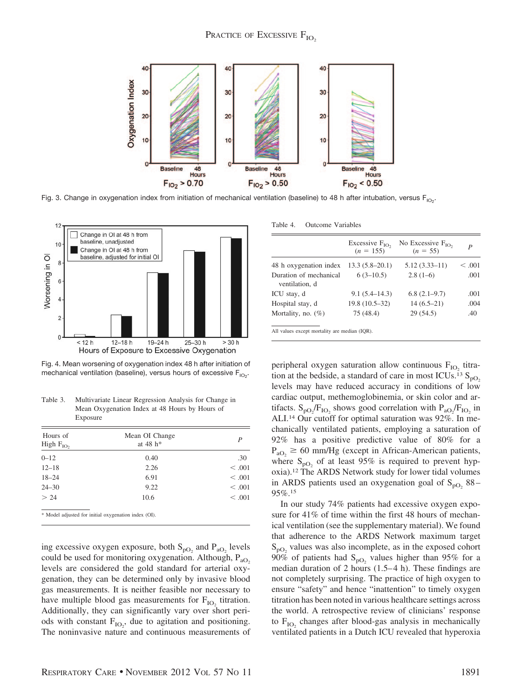

Fig. 3. Change in oxygenation index from initiation of mechanical ventilation (baseline) to 48 h after intubation, versus F<sub>lO2</sub>.



Fig. 4. Mean worsening of oxygenation index 48 h after initiation of mechanical ventilation (baseline), versus hours of excessive  $\mathsf{F}_{\mathsf{IO}_2}$ .

Table 3. Multivariate Linear Regression Analysis for Change in Mean Oxygenation Index at 48 Hours by Hours of Exposure

| Hours of<br>High $F_{IO}$ , | Mean OI Change<br>at $48 h*$                         | P       |
|-----------------------------|------------------------------------------------------|---------|
| $0 - 12$                    | 0.40                                                 | .30     |
| $12 - 18$                   | 2.26                                                 | < 0.001 |
| $18 - 24$                   | 6.91                                                 | < 0.001 |
| $24 - 30$                   | 9.22                                                 | < 0.001 |
| > 24                        | 10.6                                                 | < 0.001 |
|                             | * Model adjusted for initial oxygenation index (OI). |         |

ing excessive oxygen exposure, both  $S_{pO_2}$  and  $P_{aO_2}$  levels could be used for monitoring oxygenation. Although,  $P_{aO_2}$ levels are considered the gold standard for arterial oxygenation, they can be determined only by invasive blood gas measurements. It is neither feasible nor necessary to have multiple blood gas measurements for  $F_{IO}$  titration. Additionally, they can significantly vary over short periods with constant  $F_{IO_2}$ , due to agitation and positioning. The noninvasive nature and continuous measurements of

Table 4. Outcome Variables

|                                          | Excessive $F_{IO}$ ,<br>$(n = 155)$ | No Excessive $F_{IO}$<br>$(n = 55)$ | P       |
|------------------------------------------|-------------------------------------|-------------------------------------|---------|
| 48 h oxygenation index                   | $13.3(5.8-20.1)$                    | $5.12(3.33 - 11)$                   | < 0.001 |
| Duration of mechanical<br>ventilation, d | $6(3-10.5)$                         | $2.8(1-6)$                          | .001    |
| ICU stay, d                              | $9.1(5.4 - 14.3)$                   | $6.8(2.1-9.7)$                      | .001    |
| Hospital stay, d                         | $19.8(10.5-32)$                     | $14(6.5-21)$                        | .004    |
| Mortality, no. (%)                       | 75 (48.4)                           | 29(54.5)                            | .40     |

All values except mortality are median (IQR).

peripheral oxygen saturation allow continuous  $F_{IO}$  titration at the bedside, a standard of care in most ICUs.<sup>13</sup>  $S_{pQ}$ levels may have reduced accuracy in conditions of low cardiac output, methemoglobinemia, or skin color and artifacts.  $S_{pQ_2}/F_{IQ_2}$  shows good correlation with  $P_{aQ_2}/F_{IQ_2}$  in ALI.14 Our cutoff for optimal saturation was 92%. In mechanically ventilated patients, employing a saturation of 92% has a positive predictive value of 80% for a  $P_{aO_2} \ge 60$  mm/Hg (except in African-American patients, where  $S_{pQ_2}$  of at least 95% is required to prevent hypoxia).12 The ARDS Network study for lower tidal volumes in ARDS patients used an oxygenation goal of  $S_{pQ}$  88 – 95%.15

In our study 74% patients had excessive oxygen exposure for 41% of time within the first 48 hours of mechanical ventilation (see the supplementary material). We found that adherence to the ARDS Network maximum target  $S<sub>pO<sub>2</sub></sub>$  values was also incomplete, as in the exposed cohort  $90\%$  of patients had S<sub>pO<sub>2</sub></sub> values higher than 95% for a median duration of 2 hours  $(1.5-4 h)$ . These findings are not completely surprising. The practice of high oxygen to ensure "safety" and hence "inattention" to timely oxygen titration has been noted in various healthcare settings across the world. A retrospective review of clinicians' response to  $F_{IO}$ , changes after blood-gas analysis in mechanically ventilated patients in a Dutch ICU revealed that hyperoxia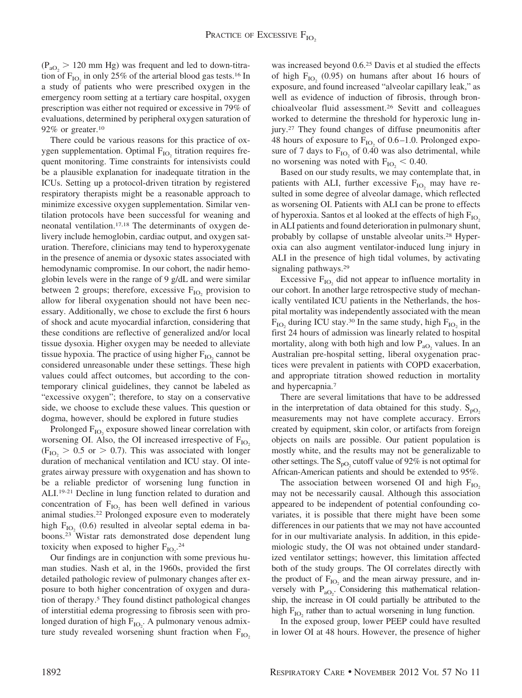$(P_{aO_2} > 120$  mm Hg) was frequent and led to down-titration of  $F_{IO}$  in only 25% of the arterial blood gas tests.<sup>16</sup> In a study of patients who were prescribed oxygen in the emergency room setting at a tertiary care hospital, oxygen prescription was either not required or excessive in 79% of evaluations, determined by peripheral oxygen saturation of 92% or greater.<sup>10</sup>

There could be various reasons for this practice of oxygen supplementation. Optimal  $F_{IO}$ , titration requires frequent monitoring. Time constraints for intensivists could be a plausible explanation for inadequate titration in the ICUs. Setting up a protocol-driven titration by registered respiratory therapists might be a reasonable approach to minimize excessive oxygen supplementation. Similar ventilation protocols have been successful for weaning and neonatal ventilation.17,18 The determinants of oxygen delivery include hemoglobin, cardiac output, and oxygen saturation. Therefore, clinicians may tend to hyperoxygenate in the presence of anemia or dysoxic states associated with hemodynamic compromise. In our cohort, the nadir hemoglobin levels were in the range of 9 g/dL and were similar between 2 groups; therefore, excessive  $F_{IO}$  provision to allow for liberal oxygenation should not have been necessary. Additionally, we chose to exclude the first 6 hours of shock and acute myocardial infarction, considering that these conditions are reflective of generalized and/or local tissue dysoxia. Higher oxygen may be needed to alleviate tissue hypoxia. The practice of using higher  $F_{IO}$  cannot be considered unreasonable under these settings. These high values could affect outcomes, but according to the contemporary clinical guidelines, they cannot be labeled as "excessive oxygen"; therefore, to stay on a conservative side, we choose to exclude these values. This question or dogma, however, should be explored in future studies

Prolonged  $F_{IO}$ , exposure showed linear correlation with worsening OI. Also, the OI increased irrespective of  $F_{IO}$  $(F_{IO_2} > 0.5 \text{ or } > 0.7)$ . This was associated with longer duration of mechanical ventilation and ICU stay. OI integrates airway pressure with oxygenation and has shown to be a reliable predictor of worsening lung function in ALI.19-21 Decline in lung function related to duration and concentration of  $F_{IO}$ , has been well defined in various animal studies.22 Prolonged exposure even to moderately high  $F_{IO}$  (0.6) resulted in alveolar septal edema in baboons.23 Wistar rats demonstrated dose dependent lung toxicity when exposed to higher  $F_{IO_2}$ <sup>24</sup>

Our findings are in conjunction with some previous human studies. Nash et al, in the 1960s, provided the first detailed pathologic review of pulmonary changes after exposure to both higher concentration of oxygen and duration of therapy.5 They found distinct pathological changes of interstitial edema progressing to fibrosis seen with prolonged duration of high  $F_{IO_2}$ . A pulmonary venous admixture study revealed worsening shunt fraction when  $F_{IO}$  was increased beyond 0.6.25 Davis et al studied the effects of high  $F_{IO}$  (0.95) on humans after about 16 hours of exposure, and found increased "alveolar capillary leak," as well as evidence of induction of fibrosis, through bronchioalveolar fluid assessment.26 Sevitt and colleagues worked to determine the threshold for hyperoxic lung injury.27 They found changes of diffuse pneumonitis after 48 hours of exposure to  $F_{IO}$  of 0.6–1.0. Prolonged exposure of 7 days to  $F_{IO}$  of 0.40 was also detrimental, while no worsening was noted with  $F_{IO_2}$  < 0.40.

Based on our study results, we may contemplate that, in patients with ALI, further excessive  $F_{IO}$  may have resulted in some degree of alveolar damage, which reflected as worsening OI. Patients with ALI can be prone to effects of hyperoxia. Santos et al looked at the effects of high  $F_{\text{IO}}$ . in ALI patients and found deterioration in pulmonary shunt, probably by collapse of unstable alveolar units.28 Hyperoxia can also augment ventilator-induced lung injury in ALI in the presence of high tidal volumes, by activating signaling pathways.29

Excessive  $F_{IO}$ , did not appear to influence mortality in our cohort. In another large retrospective study of mechanically ventilated ICU patients in the Netherlands, the hospital mortality was independently associated with the mean  $F_{\text{IO}}$  during ICU stay.<sup>30</sup> In the same study, high  $F_{\text{IO}}$  in the first 24 hours of admission was linearly related to hospital mortality, along with both high and low  $P_{aO_2}$  values. In an Australian pre-hospital setting, liberal oxygenation practices were prevalent in patients with COPD exacerbation, and appropriate titration showed reduction in mortality and hypercapnia.7

There are several limitations that have to be addressed in the interpretation of data obtained for this study.  $S_{pQ}$ measurements may not have complete accuracy. Errors created by equipment, skin color, or artifacts from foreign objects on nails are possible. Our patient population is mostly white, and the results may not be generalizable to other settings. The  $S_{pQ_2}$  cutoff value of 92% is not optimal for African-American patients and should be extended to 95%.

The association between worsened OI and high  $F_{IO}$ may not be necessarily causal. Although this association appeared to be independent of potential confounding covariates, it is possible that there might have been some differences in our patients that we may not have accounted for in our multivariate analysis. In addition, in this epidemiologic study, the OI was not obtained under standardized ventilator settings; however, this limitation affected both of the study groups. The OI correlates directly with the product of  $F_{IO}$  and the mean airway pressure, and inversely with  $P_{aO_2}$ . Considering this mathematical relationship, the increase in OI could partially be attributed to the high  $F_{IO}$ , rather than to actual worsening in lung function.

In the exposed group, lower PEEP could have resulted in lower OI at 48 hours. However, the presence of higher